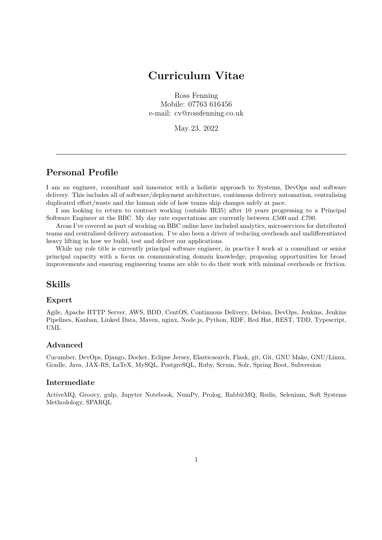# **Curriculum Vitae**

Ross Fenning Mobile: 07763 616456 e-mail: cv@rossfenning.co.uk

May 23, 2022

## **Personal Profile**

I am an engineer, consultant and innovator with a holistic approach to Systems, DevOps and software delivery. This includes all of software/deployment architecture, continuous delivery automation, centralising duplicated effort/waste and the human side of how teams ship changes safely at pace.

I am looking to return to contract working (outside IR35) after 10 years progressing to a Principal Software Engineer at the BBC. My day rate expectations are currently between £500 and £700.

Areas I've covered as part of working on BBC online have included analytics, microservices for distributed teams and centralised delivery automation. I've also been a driver of reducing overheads and undifferentiated heavy lifting in how we build, test and deliver our applications.

While my role title is currently principal software engineer, in practice I work at a consultant or senior principal capacity with a focus on communicating domain knowledge, proposing opportunities for broad improvements and ensuring engineering teams are able to do their work with minimal overheads or friction.

## **Skills**

#### **Expert**

Agile, Apache HTTP Server, AWS, BDD, CentOS, Continuous Delivery, Debian, DevOps, Jenkins, Jenkins Pipelines, Kanban, Linked Data, Maven, nginx, Node.js, Python, RDF, Red Hat, REST, TDD, Typescript, UML

#### **Advanced**

Cucumber, DevOps, Django, Docker, Eclipse Jersey, Elasticsearch, Flask, git, Git, GNU Make, GNU/Linux, Gradle, Java, JAX-RS, LaTeX, MySQL, PostgreSQL, Ruby, Scrum, Solr, Spring Boot, Subversion

#### **Intermediate**

ActiveMQ, Groovy, gulp, Jupyter Notebook, NumPy, Prolog, RabbitMQ, Redis, Selenium, Soft Systems Methodology, SPARQL